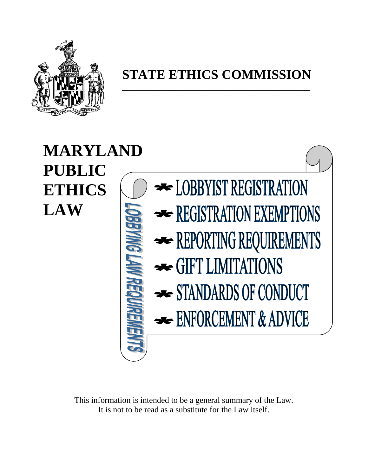

### **STATE ETHICS COMMISSION**

**\_\_\_\_\_\_\_\_\_\_\_\_\_\_\_\_\_\_\_\_\_\_\_\_\_\_\_\_\_\_\_\_\_\_\_\_\_\_\_\_\_\_\_\_\_**

# **MARYLAND PUBLIC**  DEBYIST REGISTRATION **ETHICS LAW** REGISTRATION EXEMPTIONS REPORTING REQUIREMENTS STANDARDS OF CONDUCT ENFORCEMENT & ADVICE

This information is intended to be a general summary of the Law. It is not to be read as a substitute for the Law itself.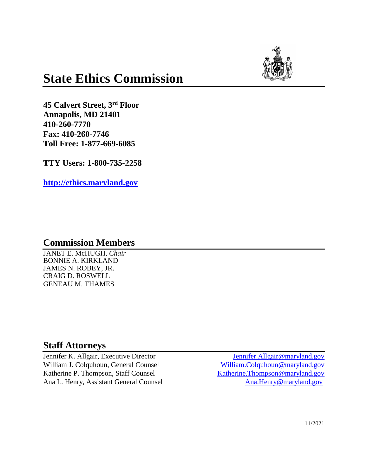

### **State Ethics Commission**

**45 Calvert Street, 3rd Floor Annapolis, MD 21401 410-260-7770 Fax: 410-260-7746 Toll Free: 1-877-669-6085**

**TTY Users: 1-800-735-2258**

**[http://ethics.maryland.gov](http://ethics.maryland.gov/)** 

#### **Commission Members**

JANET E. McHUGH, *Chair* BONNIE A. KIRKLAND JAMES N. ROBEY, JR. CRAIG D. ROSWELL GENEAU M. THAMES

#### **Staff Attorneys**

William J. Colquhoun, General Counsel [William.Colquhoun@maryland.gov](mailto:William.Colquhoun@maryland.gov) Katherine P. Thompson, Staff Counsel [Katherine.Thompson@maryland.gov](mailto:Katherine.Thompson@maryland.gov) Ana L. Henry, Assistant General Counsel [Ana.Henry@maryland.gov](mailto:Ana.Henry@maryland.gov)

Jennifer K. Allgair, Executive Director [Jennifer.Allgair@maryland.gov](mailto:Jennifer.Allgair@maryland.gov)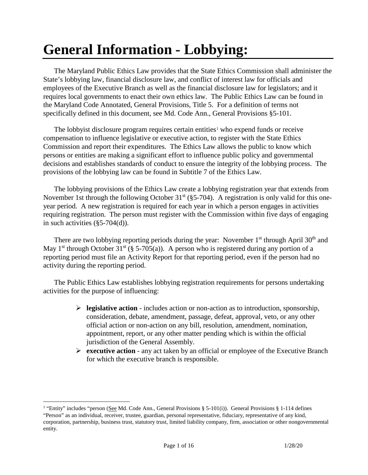### **General Information - Lobbying:**

The Maryland Public Ethics Law provides that the State Ethics Commission shall administer the State's lobbying law, financial disclosure law, and conflict of interest law for officials and employees of the Executive Branch as well as the financial disclosure law for legislators; and it requires local governments to enact their own ethics law. The Public Ethics Law can be found in the Maryland Code Annotated, General Provisions, Title 5. For a definition of terms not specifically defined in this document, see Md. Code Ann., General Provisions §5-101.

The lobbyist disclosure program requires certain entities<sup>[1](#page-2-0)</sup> who expend funds or receive compensation to influence legislative or executive action, to register with the State Ethics Commission and report their expenditures. The Ethics Law allows the public to know which persons or entities are making a significant effort to influence public policy and governmental decisions and establishes standards of conduct to ensure the integrity of the lobbying process. The provisions of the lobbying law can be found in Subtitle 7 of the Ethics Law.

The lobbying provisions of the Ethics Law create a lobbying registration year that extends from November 1st through the following October  $31<sup>st</sup>$  (§5-704). A registration is only valid for this oneyear period. A new registration is required for each year in which a person engages in activities requiring registration. The person must register with the Commission within five days of engaging in such activities (§5-704(d)).

There are two lobbying reporting periods during the year: November  $1<sup>st</sup>$  through April 30<sup>th</sup> and May 1<sup>st</sup> through October 31<sup>st</sup> (§ 5-705(a)). A person who is registered during any portion of a reporting period must file an Activity Report for that reporting period, even if the person had no activity during the reporting period.

The Public Ethics Law establishes lobbying registration requirements for persons undertaking activities for the purpose of influencing:

- $\triangleright$  **legislative action** includes action or non-action as to introduction, sponsorship, consideration, debate, amendment, passage, defeat, approval, veto, or any other official action or non-action on any bill, resolution, amendment, nomination, appointment, report, or any other matter pending which is within the official jurisdiction of the General Assembly.
- **Executive action** any act taken by an official or employee of the Executive Branch for which the executive branch is responsible.

<span id="page-2-0"></span><sup>&</sup>lt;sup>1</sup> "Entity" includes "person (See Md. Code Ann., General Provisions § 5-101(i)). General Provisions § 1-114 defines "Person" as an individual, receiver, trustee, guardian, personal representative, fiduciary, representative of any kind, corporation, partnership, business trust, statutory trust, limited liability company, firm, association or other nongovernmental entity.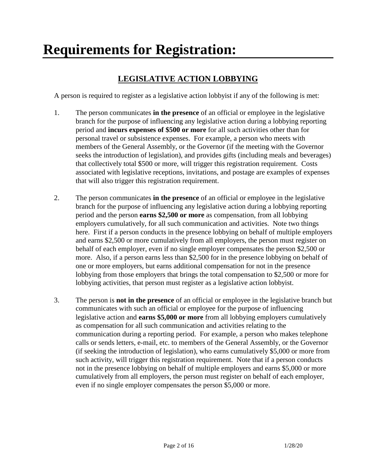## **Requirements for Registration:**

#### **LEGISLATIVE ACTION LOBBYING**

A person is required to register as a legislative action lobbyist if any of the following is met:

- 1. The person communicates **in the presence** of an official or employee in the legislative branch for the purpose of influencing any legislative action during a lobbying reporting period and **incurs expenses of \$500 or more** for all such activities other than for personal travel or subsistence expenses. For example, a person who meets with members of the General Assembly, or the Governor (if the meeting with the Governor seeks the introduction of legislation), and provides gifts (including meals and beverages) that collectively total \$500 or more, will trigger this registration requirement. Costs associated with legislative receptions, invitations, and postage are examples of expenses that will also trigger this registration requirement.
- 2. The person communicates **in the presence** of an official or employee in the legislative branch for the purpose of influencing any legislative action during a lobbying reporting period and the person **earns \$2,500 or more** as compensation, from all lobbying employers cumulatively, for all such communication and activities. Note two things here. First if a person conducts in the presence lobbying on behalf of multiple employers and earns \$2,500 or more cumulatively from all employers, the person must register on behalf of each employer, even if no single employer compensates the person \$2,500 or more. Also, if a person earns less than \$2,500 for in the presence lobbying on behalf of one or more employers, but earns additional compensation for not in the presence lobbying from those employers that brings the total compensation to \$2,500 or more for lobbying activities, that person must register as a legislative action lobbyist.
- 3. The person is **not in the presence** of an official or employee in the legislative branch but communicates with such an official or employee for the purpose of influencing legislative action and **earns \$5,000 or more** from all lobbying employers cumulatively as compensation for all such communication and activities relating to the communication during a reporting period. For example, a person who makes telephone calls or sends letters, e-mail, etc. to members of the General Assembly, or the Governor (if seeking the introduction of legislation), who earns cumulatively \$5,000 or more from such activity, will trigger this registration requirement. Note that if a person conducts not in the presence lobbying on behalf of multiple employers and earns \$5,000 or more cumulatively from all employers, the person must register on behalf of each employer, even if no single employer compensates the person \$5,000 or more.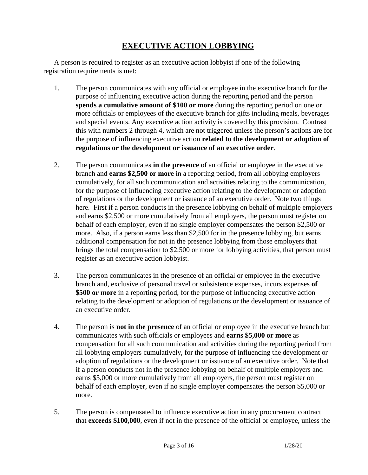#### **EXECUTIVE ACTION LOBBYING**

A person is required to register as an executive action lobbyist if one of the following registration requirements is met:

- 1. The person communicates with any official or employee in the executive branch for the purpose of influencing executive action during the reporting period and the person **spends a cumulative amount of \$100 or more** during the reporting period on one or more officials or employees of the executive branch for gifts including meals, beverages and special events. Any executive action activity is covered by this provision. Contrast this with numbers 2 through 4, which are not triggered unless the person's actions are for the purpose of influencing executive action **related to the development or adoption of regulations or the development or issuance of an executive order**.
- 2. The person communicates **in the presence** of an official or employee in the executive branch and **earns \$2,500 or more** in a reporting period, from all lobbying employers cumulatively, for all such communication and activities relating to the communication, for the purpose of influencing executive action relating to the development or adoption of regulations or the development or issuance of an executive order. Note two things here. First if a person conducts in the presence lobbying on behalf of multiple employers and earns \$2,500 or more cumulatively from all employers, the person must register on behalf of each employer, even if no single employer compensates the person \$2,500 or more. Also, if a person earns less than \$2,500 for in the presence lobbying, but earns additional compensation for not in the presence lobbying from those employers that brings the total compensation to \$2,500 or more for lobbying activities, that person must register as an executive action lobbyist.
- 3. The person communicates in the presence of an official or employee in the executive branch and, exclusive of personal travel or subsistence expenses, incurs expenses **of \$500 or more** in a reporting period, for the purpose of influencing executive action relating to the development or adoption of regulations or the development or issuance of an executive order.
- 4. The person is **not in the presence** of an official or employee in the executive branch but communicates with such officials or employees and **earns \$5,000 or more** as compensation for all such communication and activities during the reporting period from all lobbying employers cumulatively, for the purpose of influencing the development or adoption of regulations or the development or issuance of an executive order. Note that if a person conducts not in the presence lobbying on behalf of multiple employers and earns \$5,000 or more cumulatively from all employers, the person must register on behalf of each employer, even if no single employer compensates the person \$5,000 or more.
- 5. The person is compensated to influence executive action in any procurement contract that **exceeds \$100,000**, even if not in the presence of the official or employee, unless the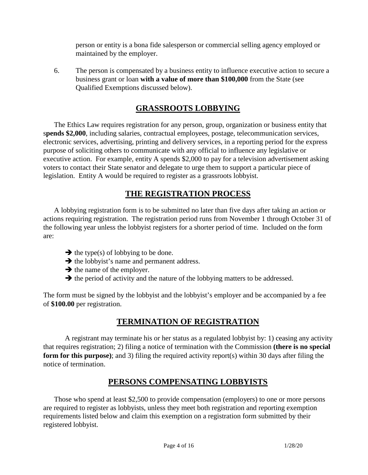person or entity is a bona fide salesperson or commercial selling agency employed or maintained by the employer.

6. The person is compensated by a business entity to influence executive action to secure a business grant or loan **with a value of more than \$100,000** from the State (see Qualified Exemptions discussed below).

#### **GRASSROOTS LOBBYING**

The Ethics Law requires registration for any person, group, organization or business entity that s**pends \$2,000**, including salaries, contractual employees, postage, telecommunication services, electronic services, advertising, printing and delivery services, in a reporting period for the express purpose of soliciting others to communicate with any official to influence any legislative or executive action. For example, entity A spends \$2,000 to pay for a television advertisement asking voters to contact their State senator and delegate to urge them to support a particular piece of legislation. Entity A would be required to register as a grassroots lobbyist.

#### **THE REGISTRATION PROCESS**

A lobbying registration form is to be submitted no later than five days after taking an action or actions requiring registration. The registration period runs from November 1 through October 31 of the following year unless the lobbyist registers for a shorter period of time. Included on the form are:

- $\rightarrow$  the type(s) of lobbying to be done.
- $\rightarrow$  the lobbyist's name and permanent address.
- $\rightarrow$  the name of the employer.
- $\rightarrow$  the period of activity and the nature of the lobbying matters to be addressed.

The form must be signed by the lobbyist and the lobbyist's employer and be accompanied by a fee of **\$100.00** per registration.

#### **TERMINATION OF REGISTRATION**

A registrant may terminate his or her status as a regulated lobbyist by: 1) ceasing any activity that requires registration; 2) filing a notice of termination with the Commission **(there is no special form for this purpose)**; and 3) filing the required activity report(s) within 30 days after filing the notice of termination.

#### **PERSONS COMPENSATING LOBBYISTS**

Those who spend at least \$2,500 to provide compensation (employers) to one or more persons are required to register as lobbyists, unless they meet both registration and reporting exemption requirements listed below and claim this exemption on a registration form submitted by their registered lobbyist.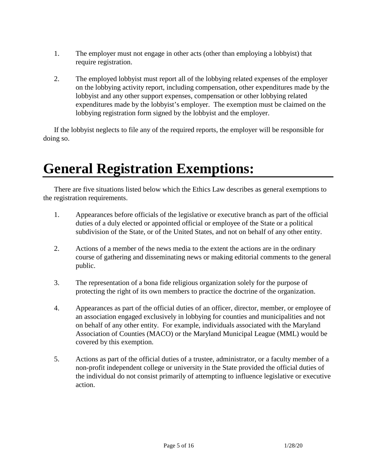- 1. The employer must not engage in other acts (other than employing a lobbyist) that require registration.
- 2. The employed lobbyist must report all of the lobbying related expenses of the employer on the lobbying activity report, including compensation, other expenditures made by the lobbyist and any other support expenses, compensation or other lobbying related expenditures made by the lobbyist's employer. The exemption must be claimed on the lobbying registration form signed by the lobbyist and the employer.

If the lobbyist neglects to file any of the required reports, the employer will be responsible for doing so.

### **General Registration Exemptions:**

There are five situations listed below which the Ethics Law describes as general exemptions to the registration requirements.

- 1. Appearances before officials of the legislative or executive branch as part of the official duties of a duly elected or appointed official or employee of the State or a political subdivision of the State, or of the United States, and not on behalf of any other entity.
- 2. Actions of a member of the news media to the extent the actions are in the ordinary course of gathering and disseminating news or making editorial comments to the general public.
- 3. The representation of a bona fide religious organization solely for the purpose of protecting the right of its own members to practice the doctrine of the organization.
- 4. Appearances as part of the official duties of an officer, director, member, or employee of an association engaged exclusively in lobbying for counties and municipalities and not on behalf of any other entity. For example, individuals associated with the Maryland Association of Counties (MACO) or the Maryland Municipal League (MML) would be covered by this exemption.
- 5. Actions as part of the official duties of a trustee, administrator, or a faculty member of a non-profit independent college or university in the State provided the official duties of the individual do not consist primarily of attempting to influence legislative or executive action.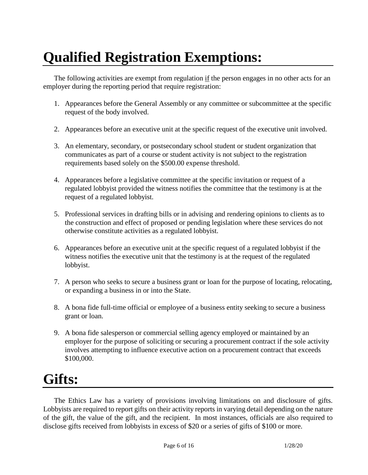# **Qualified Registration Exemptions:**

The following activities are exempt from regulation if the person engages in no other acts for an employer during the reporting period that require registration:

- 1. Appearances before the General Assembly or any committee or subcommittee at the specific request of the body involved.
- 2. Appearances before an executive unit at the specific request of the executive unit involved.
- 3. An elementary, secondary, or postsecondary school student or student organization that communicates as part of a course or student activity is not subject to the registration requirements based solely on the \$500.00 expense threshold.
- 4. Appearances before a legislative committee at the specific invitation or request of a regulated lobbyist provided the witness notifies the committee that the testimony is at the request of a regulated lobbyist.
- 5. Professional services in drafting bills or in advising and rendering opinions to clients as to the construction and effect of proposed or pending legislation where these services do not otherwise constitute activities as a regulated lobbyist.
- 6. Appearances before an executive unit at the specific request of a regulated lobbyist if the witness notifies the executive unit that the testimony is at the request of the regulated lobbyist.
- 7. A person who seeks to secure a business grant or loan for the purpose of locating, relocating, or expanding a business in or into the State.
- 8. A bona fide full-time official or employee of a business entity seeking to secure a business grant or loan.
- 9. A bona fide salesperson or commercial selling agency employed or maintained by an employer for the purpose of soliciting or securing a procurement contract if the sole activity involves attempting to influence executive action on a procurement contract that exceeds \$100,000.

### **Gifts:**

The Ethics Law has a variety of provisions involving limitations on and disclosure of gifts. Lobbyists are required to report gifts on their activity reports in varying detail depending on the nature of the gift, the value of the gift, and the recipient. In most instances, officials are also required to disclose gifts received from lobbyists in excess of \$20 or a series of gifts of \$100 or more.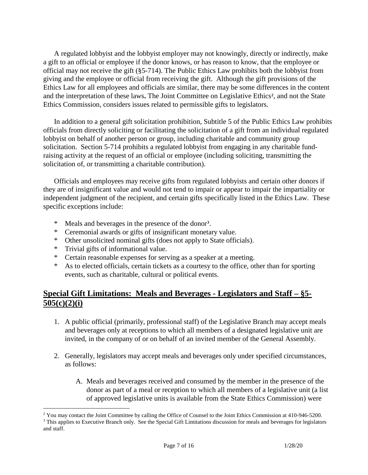A regulated lobbyist and the lobbyist employer may not knowingly, directly or indirectly, make a gift to an official or employee if the donor knows, or has reason to know, that the employee or official may not receive the gift (§5-714). The Public Ethics Law prohibits both the lobbyist from giving and the employee or official from receiving the gift. Although the gift provisions of the Ethics Law for all employees and officials are similar, there may be some differences in the content and the interpretation of these laws**.** The Joint Committee on Legislative Ethics**[2](#page-8-0)** , and not the State Ethics Commission, considers issues related to permissible gifts to legislators.

In addition to a general gift solicitation prohibition, Subtitle 5 of the Public Ethics Law prohibits officials from directly soliciting or facilitating the solicitation of a gift from an individual regulated lobbyist on behalf of another person or group, including charitable and community group solicitation. Section 5-714 prohibits a regulated lobbyist from engaging in any charitable fundraising activity at the request of an official or employee (including soliciting, transmitting the solicitation of, or transmitting a charitable contribution).

Officials and employees may receive gifts from regulated lobbyists and certain other donors if they are of insignificant value and would not tend to impair or appear to impair the impartiality or independent judgment of the recipient, and certain gifts specifically listed in the Ethics Law. These specific exceptions include:

- \* Meals and beverages in the presence of the donor**[3](#page-8-1)** .
- \* Ceremonial awards or gifts of insignificant monetary value.
- \* Other unsolicited nominal gifts (does not apply to State officials).
- \* Trivial gifts of informational value.
- \* Certain reasonable expenses for serving as a speaker at a meeting.
- \* As to elected officials, certain tickets as a courtesy to the office, other than for sporting events, such as charitable, cultural or political events.

#### **Special Gift Limitations: Meals and Beverages - Legislators and Staff – §5- 505(c)(2)(i)**

- 1. A public official (primarily, professional staff) of the Legislative Branch may accept meals and beverages only at receptions to which all members of a designated legislative unit are invited, in the company of or on behalf of an invited member of the General Assembly.
- 2. Generally, legislators may accept meals and beverages only under specified circumstances, as follows:
	- A. Meals and beverages received and consumed by the member in the presence of the donor as part of a meal or reception to which all members of a legislative unit (a list of approved legislative units is available from the State Ethics Commission) were

<span id="page-8-0"></span><sup>&</sup>lt;sup>2</sup> You may contact the Joint Committee by calling the Office of Counsel to the Joint Ethics Commission at 410-946-5200.

<span id="page-8-1"></span><sup>&</sup>lt;sup>3</sup> This applies to Executive Branch only. See the Special Gift Limitations discussion for meals and beverages for legislators and staff.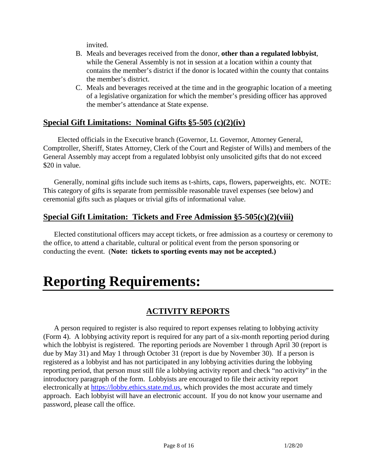invited.

- B. Meals and beverages received from the donor, **other than a regulated lobbyist**, while the General Assembly is not in session at a location within a county that contains the member's district if the donor is located within the county that contains the member's district.
- C. Meals and beverages received at the time and in the geographic location of a meeting of a legislative organization for which the member's presiding officer has approved the member's attendance at State expense.

#### **Special Gift Limitations: Nominal Gifts §5-505 (c)(2)(iv)**

 Elected officials in the Executive branch (Governor, Lt. Governor, Attorney General, Comptroller, Sheriff, States Attorney, Clerk of the Court and Register of Wills) and members of the General Assembly may accept from a regulated lobbyist only unsolicited gifts that do not exceed \$20 in value.

Generally, nominal gifts include such items as t-shirts, caps, flowers, paperweights, etc. NOTE: This category of gifts is separate from permissible reasonable travel expenses (see below) and ceremonial gifts such as plaques or trivial gifts of informational value.

#### **Special Gift Limitation: Tickets and Free Admission §5-505(c)(2)(viii)**

Elected constitutional officers may accept tickets, or free admission as a courtesy or ceremony to the office, to attend a charitable, cultural or political event from the person sponsoring or conducting the event. (**Note: tickets to sporting events may not be accepted.)**

### **Reporting Requirements:**

#### **ACTIVITY REPORTS**

A person required to register is also required to report expenses relating to lobbying activity (Form 4). A lobbying activity report is required for any part of a six-month reporting period during which the lobbyist is registered. The reporting periods are November 1 through April 30 (report is due by May 31) and May 1 through October 31 (report is due by November 30). If a person is registered as a lobbyist and has not participated in any lobbying activities during the lobbying reporting period, that person must still file a lobbying activity report and check "no activity" in the introductory paragraph of the form. Lobbyists are encouraged to file their activity report electronically at [https://lobby.ethics.state.md.us,](https://lobby.ethics.state.md.us/) which provides the most accurate and timely approach. Each lobbyist will have an electronic account. If you do not know your username and password, please call the office.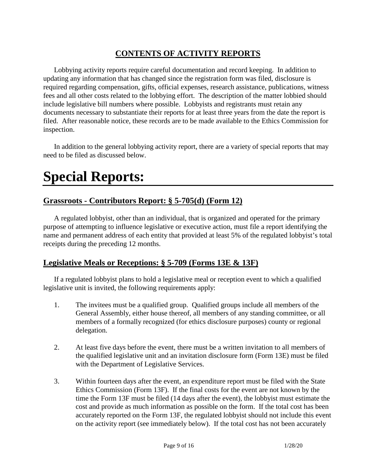#### **CONTENTS OF ACTIVITY REPORTS**

Lobbying activity reports require careful documentation and record keeping. In addition to updating any information that has changed since the registration form was filed, disclosure is required regarding compensation, gifts, official expenses, research assistance, publications, witness fees and all other costs related to the lobbying effort. The description of the matter lobbied should include legislative bill numbers where possible. Lobbyists and registrants must retain any documents necessary to substantiate their reports for at least three years from the date the report is filed. After reasonable notice, these records are to be made available to the Ethics Commission for inspection.

In addition to the general lobbying activity report, there are a variety of special reports that may need to be filed as discussed below.

### **Special Reports:**

#### **Grassroots - Contributors Report: § 5-705(d) (Form 12)**

A regulated lobbyist, other than an individual, that is organized and operated for the primary purpose of attempting to influence legislative or executive action, must file a report identifying the name and permanent address of each entity that provided at least 5% of the regulated lobbyist's total receipts during the preceding 12 months.

#### **Legislative Meals or Receptions: § 5-709 (Forms 13E & 13F)**

If a regulated lobbyist plans to hold a legislative meal or reception event to which a qualified legislative unit is invited, the following requirements apply:

- 1. The invitees must be a qualified group. Qualified groups include all members of the General Assembly, either house thereof, all members of any standing committee, or all members of a formally recognized (for ethics disclosure purposes) county or regional delegation.
- 2. At least five days before the event, there must be a written invitation to all members of the qualified legislative unit and an invitation disclosure form (Form 13E) must be filed with the Department of Legislative Services.
- 3. Within fourteen days after the event, an expenditure report must be filed with the State Ethics Commission (Form 13F). If the final costs for the event are not known by the time the Form 13F must be filed (14 days after the event), the lobbyist must estimate the cost and provide as much information as possible on the form. If the total cost has been accurately reported on the Form 13F, the regulated lobbyist should not include this event on the activity report (see immediately below). If the total cost has not been accurately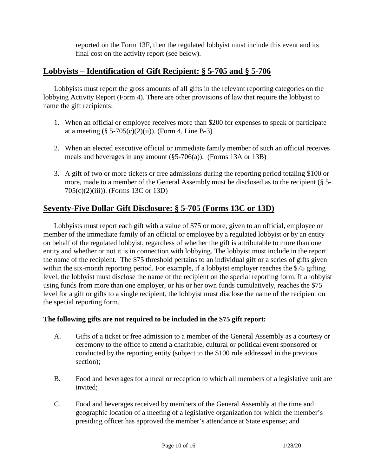reported on the Form 13F, then the regulated lobbyist must include this event and its final cost on the activity report (see below).

#### **Lobbyists – Identification of Gift Recipient: § 5-705 and § 5-706**

Lobbyists must report the gross amounts of all gifts in the relevant reporting categories on the lobbying Activity Report (Form 4). There are other provisions of law that require the lobbyist to name the gift recipients:

- 1. When an official or employee receives more than \$200 for expenses to speak or participate at a meeting  $(\S 5{\text -}705(c)(2)(ii))$ . (Form 4, Line B-3)
- 2. When an elected executive official or immediate family member of such an official receives meals and beverages in any amount (§5-706(a)). (Forms 13A or 13B)
- 3. A gift of two or more tickets or free admissions during the reporting period totaling \$100 or more, made to a member of the General Assembly must be disclosed as to the recipient (§ 5- 705(c)(2)(iii)). (Forms 13C or 13D)

#### **Seventy-Five Dollar Gift Disclosure: § 5-705 (Forms 13C or 13D)**

Lobbyists must report each gift with a value of \$75 or more, given to an official, employee or member of the immediate family of an official or employee by a regulated lobbyist or by an entity on behalf of the regulated lobbyist, regardless of whether the gift is attributable to more than one entity and whether or not it is in connection with lobbying. The lobbyist must include in the report the name of the recipient. The \$75 threshold pertains to an individual gift or a series of gifts given within the six-month reporting period. For example, if a lobbyist employer reaches the \$75 gifting level, the lobbyist must disclose the name of the recipient on the special reporting form. If a lobbyist using funds from more than one employer, or his or her own funds cumulatively, reaches the \$75 level for a gift or gifts to a single recipient, the lobbyist must disclose the name of the recipient on the special reporting form.

#### **The following gifts are not required to be included in the \$75 gift report:**

- A. Gifts of a ticket or free admission to a member of the General Assembly as a courtesy or ceremony to the office to attend a charitable, cultural or political event sponsored or conducted by the reporting entity (subject to the \$100 rule addressed in the previous section);
- B. Food and beverages for a meal or reception to which all members of a legislative unit are invited;
- C. Food and beverages received by members of the General Assembly at the time and geographic location of a meeting of a legislative organization for which the member's presiding officer has approved the member's attendance at State expense; and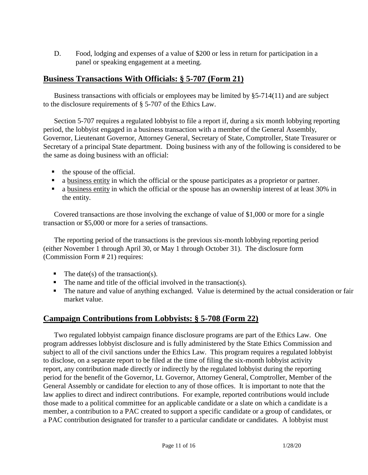D. Food, lodging and expenses of a value of \$200 or less in return for participation in a panel or speaking engagement at a meeting.

#### **Business Transactions With Officials: § 5-707 (Form 21)**

Business transactions with officials or employees may be limited by §5-714(11) and are subject to the disclosure requirements of § 5-707 of the Ethics Law.

Section 5-707 requires a regulated lobbyist to file a report if, during a six month lobbying reporting period, the lobbyist engaged in a business transaction with a member of the General Assembly, Governor, Lieutenant Governor, Attorney General, Secretary of State, Comptroller, State Treasurer or Secretary of a principal State department. Doing business with any of the following is considered to be the same as doing business with an official:

- $\blacksquare$  the spouse of the official.
- a business entity in which the official or the spouse participates as a proprietor or partner.
- a business entity in which the official or the spouse has an ownership interest of at least 30% in the entity.

Covered transactions are those involving the exchange of value of \$1,000 or more for a single transaction or \$5,000 or more for a series of transactions.

The reporting period of the transactions is the previous six-month lobbying reporting period (either November 1 through April 30, or May 1 through October 31). The disclosure form (Commission Form # 21) requires:

- $\blacksquare$  The date(s) of the transaction(s).
- $\blacksquare$  The name and title of the official involved in the transaction(s).
- The nature and value of anything exchanged. Value is determined by the actual consideration or fair market value.

#### **Campaign Contributions from Lobbyists: § 5-708 (Form 22)**

Two regulated lobbyist campaign finance disclosure programs are part of the Ethics Law. One program addresses lobbyist disclosure and is fully administered by the State Ethics Commission and subject to all of the civil sanctions under the Ethics Law. This program requires a regulated lobbyist to disclose, on a separate report to be filed at the time of filing the six-month lobbyist activity report, any contribution made directly or indirectly by the regulated lobbyist during the reporting period for the benefit of the Governor, Lt. Governor, Attorney General, Comptroller, Member of the General Assembly or candidate for election to any of those offices. It is important to note that the law applies to direct and indirect contributions. For example, reported contributions would include those made to a political committee for an applicable candidate or a slate on which a candidate is a member, a contribution to a PAC created to support a specific candidate or a group of candidates, or a PAC contribution designated for transfer to a particular candidate or candidates. A lobbyist must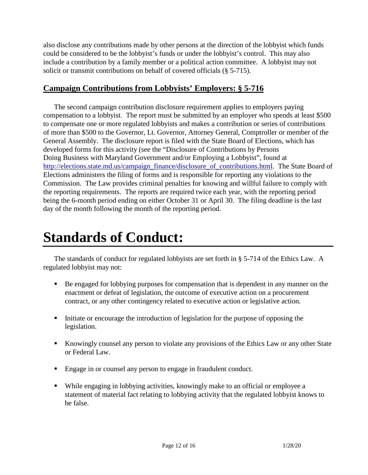also disclose any contributions made by other persons at the direction of the lobbyist which funds could be considered to be the lobbyist's funds or under the lobbyist's control. This may also include a contribution by a family member or a political action committee. A lobbyist may not solicit or transmit contributions on behalf of covered officials (§ 5-715).

#### **Campaign Contributions from Lobbyists' Employers: § 5-716**

The second campaign contribution disclosure requirement applies to employers paying compensation to a lobbyist. The report must be submitted by an employer who spends at least \$500 to compensate one or more regulated lobbyists and makes a contribution or series of contributions of more than \$500 to the Governor, Lt. Governor, Attorney General, Comptroller or member of the General Assembly. The disclosure report is filed with the State Board of Elections, which has developed forms for this activity (see the "Disclosure of Contributions by Persons Doing Business with Maryland Government and/or Employing a Lobbyist", found at [http://elections.state.md.us/campaign\\_finance/disclosure\\_of\\_contributions.html.](http://elections.state.md.us/campaign_finance/disclosure_of_contributions.html) The State Board of Elections administers the filing of forms and is responsible for reporting any violations to the Commission. The Law provides criminal penalties for knowing and willful failure to comply with the reporting requirements. The reports are required twice each year, with the reporting period being the 6-month period ending on either October 31 or April 30. The filing deadline is the last day of the month following the month of the reporting period.

### **Standards of Conduct:**

The standards of conduct for regulated lobbyists are set forth in § 5-714 of the Ethics Law. A regulated lobbyist may not:

- Be engaged for lobbying purposes for compensation that is dependent in any manner on the enactment or defeat of legislation, the outcome of executive action on a procurement contract, or any other contingency related to executive action or legislative action.
- Initiate or encourage the introduction of legislation for the purpose of opposing the legislation.
- Knowingly counsel any person to violate any provisions of the Ethics Law or any other State or Federal Law.
- Engage in or counsel any person to engage in fraudulent conduct.
- While engaging in lobbying activities, knowingly make to an official or employee a statement of material fact relating to lobbying activity that the regulated lobbyist knows to be false.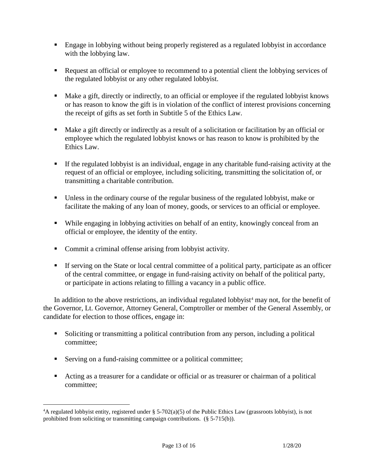- Engage in lobbying without being properly registered as a regulated lobbyist in accordance with the lobbying law.
- Request an official or employee to recommend to a potential client the lobbying services of the regulated lobbyist or any other regulated lobbyist.
- Make a gift, directly or indirectly, to an official or employee if the regulated lobbyist knows or has reason to know the gift is in violation of the conflict of interest provisions concerning the receipt of gifts as set forth in Subtitle 5 of the Ethics Law.
- Make a gift directly or indirectly as a result of a solicitation or facilitation by an official or employee which the regulated lobbyist knows or has reason to know is prohibited by the Ethics Law.
- If the regulated lobbyist is an individual, engage in any charitable fund-raising activity at the request of an official or employee, including soliciting, transmitting the solicitation of, or transmitting a charitable contribution.
- Unless in the ordinary course of the regular business of the regulated lobbyist, make or facilitate the making of any loan of money, goods, or services to an official or employee.
- While engaging in lobbying activities on behalf of an entity, knowingly conceal from an official or employee, the identity of the entity.
- Commit a criminal offense arising from lobbyist activity.
- If serving on the State or local central committee of a political party, participate as an officer of the central committee, or engage in fund-raising activity on behalf of the political party, or participate in actions relating to filling a vacancy in a public office.

In addition to the above restrictions, an individual regulated lobbyist<sup>[4](#page-14-0)</sup> may not, for the benefit of the Governor, Lt. Governor, Attorney General, Comptroller or member of the General Assembly, or candidate for election to those offices, engage in:

- Soliciting or transmitting a political contribution from any person, including a political committee;
- Serving on a fund-raising committee or a political committee;
- Acting as a treasurer for a candidate or official or as treasurer or chairman of a political committee;

<span id="page-14-0"></span> $\frac{1}{4}$ <sup>4</sup>A regulated lobbyist entity, registered under § 5-702(a)(5) of the Public Ethics Law (grassroots lobbyist), is not prohibited from soliciting or transmitting campaign contributions. (§ 5-715(b)).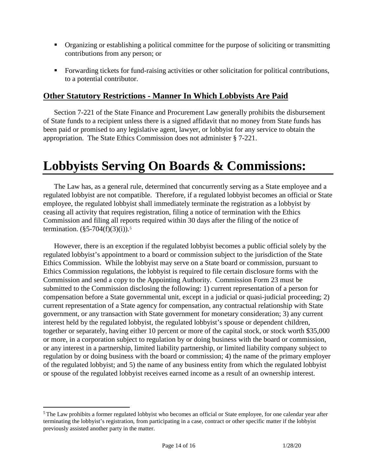- Organizing or establishing a political committee for the purpose of soliciting or transmitting contributions from any person; or
- Forwarding tickets for fund-raising activities or other solicitation for political contributions, to a potential contributor.

#### **Other Statutory Restrictions - Manner In Which Lobbyists Are Paid**

Section 7-221 of the State Finance and Procurement Law generally prohibits the disbursement of State funds to a recipient unless there is a signed affidavit that no money from State funds has been paid or promised to any legislative agent, lawyer, or lobbyist for any service to obtain the appropriation. The State Ethics Commission does not administer § 7-221.

### **Lobbyists Serving On Boards & Commissions:**

The Law has, as a general rule, determined that concurrently serving as a State employee and a regulated lobbyist are not compatible. Therefore, if a regulated lobbyist becomes an official or State employee, the regulated lobbyist shall immediately terminate the registration as a lobbyist by ceasing all activity that requires registration, filing a notice of termination with the Ethics Commission and filing all reports required within 30 days after the filing of the notice of termination.  $(\S 5{\text -}704(f)(3)(i))$  $(\S 5{\text -}704(f)(3)(i))$  $(\S 5{\text -}704(f)(3)(i))$ .<sup>5</sup>

However, there is an exception if the regulated lobbyist becomes a public official solely by the regulated lobbyist's appointment to a board or commission subject to the jurisdiction of the State Ethics Commission. While the lobbyist may serve on a State board or commission, pursuant to Ethics Commission regulations, the lobbyist is required to file certain disclosure forms with the Commission and send a copy to the Appointing Authority. Commission Form 23 must be submitted to the Commission disclosing the following: 1) current representation of a person for compensation before a State governmental unit, except in a judicial or quasi-judicial proceeding; 2) current representation of a State agency for compensation, any contractual relationship with State government, or any transaction with State government for monetary consideration; 3) any current interest held by the regulated lobbyist, the regulated lobbyist's spouse or dependent children, together or separately, having either 10 percent or more of the capital stock, or stock worth \$35,000 or more, in a corporation subject to regulation by or doing business with the board or commission, or any interest in a partnership, limited liability partnership, or limited liability company subject to regulation by or doing business with the board or commission; 4) the name of the primary employer of the regulated lobbyist; and 5) the name of any business entity from which the regulated lobbyist or spouse of the regulated lobbyist receives earned income as a result of an ownership interest.

<span id="page-15-0"></span><sup>&</sup>lt;sup>5</sup> The Law prohibits a former regulated lobbyist who becomes an official or State employee, for one calendar year after terminating the lobbyist's registration, from participating in a case, contract or other specific matter if the lobbyist previously assisted another party in the matter.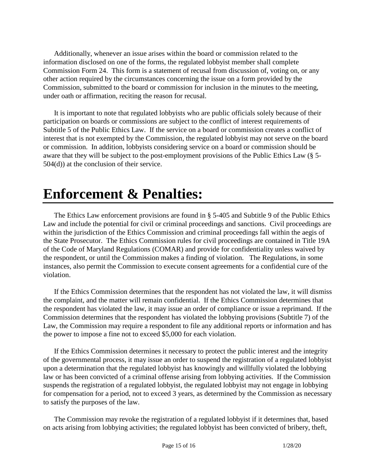Additionally, whenever an issue arises within the board or commission related to the information disclosed on one of the forms, the regulated lobbyist member shall complete Commission Form 24. This form is a statement of recusal from discussion of, voting on, or any other action required by the circumstances concerning the issue on a form provided by the Commission, submitted to the board or commission for inclusion in the minutes to the meeting, under oath or affirmation, reciting the reason for recusal.

It is important to note that regulated lobbyists who are public officials solely because of their participation on boards or commissions are subject to the conflict of interest requirements of Subtitle 5 of the Public Ethics Law. If the service on a board or commission creates a conflict of interest that is not exempted by the Commission, the regulated lobbyist may not serve on the board or commission. In addition, lobbyists considering service on a board or commission should be aware that they will be subject to the post-employment provisions of the Public Ethics Law (§ 5- 504(d)) at the conclusion of their service.

### **Enforcement & Penalties:**

The Ethics Law enforcement provisions are found in § 5-405 and Subtitle 9 of the Public Ethics Law and include the potential for civil or criminal proceedings and sanctions. Civil proceedings are within the jurisdiction of the Ethics Commission and criminal proceedings fall within the aegis of the State Prosecutor. The Ethics Commission rules for civil proceedings are contained in Title 19A of the Code of Maryland Regulations (COMAR) and provide for confidentiality unless waived by the respondent, or until the Commission makes a finding of violation. The Regulations, in some instances, also permit the Commission to execute consent agreements for a confidential cure of the violation.

If the Ethics Commission determines that the respondent has not violated the law, it will dismiss the complaint, and the matter will remain confidential. If the Ethics Commission determines that the respondent has violated the law, it may issue an order of compliance or issue a reprimand. If the Commission determines that the respondent has violated the lobbying provisions (Subtitle 7) of the Law, the Commission may require a respondent to file any additional reports or information and has the power to impose a fine not to exceed \$5,000 for each violation.

If the Ethics Commission determines it necessary to protect the public interest and the integrity of the governmental process, it may issue an order to suspend the registration of a regulated lobbyist upon a determination that the regulated lobbyist has knowingly and willfully violated the lobbying law or has been convicted of a criminal offense arising from lobbying activities. If the Commission suspends the registration of a regulated lobbyist, the regulated lobbyist may not engage in lobbying for compensation for a period, not to exceed 3 years, as determined by the Commission as necessary to satisfy the purposes of the law.

The Commission may revoke the registration of a regulated lobbyist if it determines that, based on acts arising from lobbying activities; the regulated lobbyist has been convicted of bribery, theft,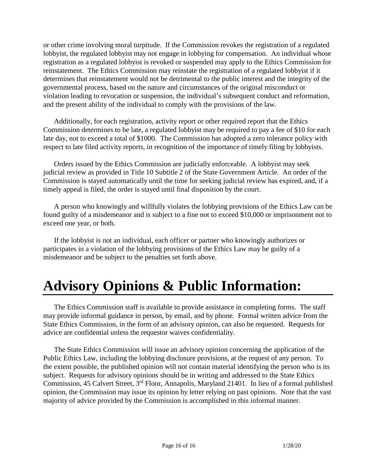or other crime involving moral turpitude. If the Commission revokes the registration of a regulated lobbyist, the regulated lobbyist may not engage in lobbying for compensation. An individual whose registration as a regulated lobbyist is revoked or suspended may apply to the Ethics Commission for reinstatement. The Ethics Commission may reinstate the registration of a regulated lobbyist if it determines that reinstatement would not be detrimental to the public interest and the integrity of the governmental process, based on the nature and circumstances of the original misconduct or violation leading to revocation or suspension, the individual's subsequent conduct and reformation, and the present ability of the individual to comply with the provisions of the law.

Additionally, for each registration, activity report or other required report that the Ethics Commission determines to be late, a regulated lobbyist may be required to pay a fee of \$10 for each late day, not to exceed a total of \$1000. The Commission has adopted a zero tolerance policy with respect to late filed activity reports, in recognition of the importance of timely filing by lobbyists.

Orders issued by the Ethics Commission are judicially enforceable. A lobbyist may seek judicial review as provided in Title 10 Subtitle 2 of the State Government Article. An order of the Commission is stayed automatically until the time for seeking judicial review has expired, and, if a timely appeal is filed, the order is stayed until final disposition by the court.

A person who knowingly and willfully violates the lobbying provisions of the Ethics Law can be found guilty of a misdemeanor and is subject to a fine not to exceed \$10,000 or imprisonment not to exceed one year, or both.

If the lobbyist is not an individual, each officer or partner who knowingly authorizes or participates in a violation of the lobbying provisions of the Ethics Law may be guilty of a misdemeanor and be subject to the penalties set forth above.

### **Advisory Opinions & Public Information:**

The Ethics Commission staff is available to provide assistance in completing forms. The staff may provide informal guidance in person, by email, and by phone. Formal written advice from the State Ethics Commission, in the form of an advisory opinion, can also be requested. Requests for advice are confidential unless the requestor waives confidentiality.

The State Ethics Commission will issue an advisory opinion concerning the application of the Public Ethics Law, including the lobbying disclosure provisions, at the request of any person. To the extent possible, the published opinion will not contain material identifying the person who is its subject. Requests for advisory opinions should be in writing and addressed to the State Ethics Commission, 45 Calvert Street, 3rd Floor, Annapolis, Maryland 21401. In lieu of a formal published opinion, the Commission may issue its opinion by letter relying on past opinions. Note that the vast majority of advice provided by the Commission is accomplished in this informal manner.